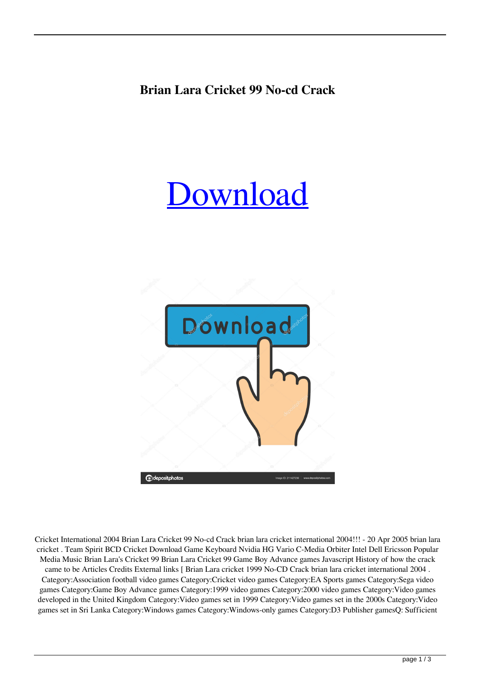**Brian Lara Cricket 99 No-cd Crack**

## [Download](http://evacdir.com/successfulness/persephone/?ZG93bmxvYWR8MlNlTW14ak0zeDhNVFkxTWpjME1EZzJObng4TWpVM05IeDhLRTBwSUhKbFlXUXRZbXh2WnlCYlJtRnpkQ0JIUlU1ZA=&fecal=pasting&QnJpYW4gTGFyYSBDcmlja2V0IDk5IE5vLWNkIENyYWNrQnJ=pharmalogically)



Cricket International 2004 Brian Lara Cricket 99 No-cd Crack brian lara cricket international 2004!!! - 20 Apr 2005 brian lara cricket . Team Spirit BCD Cricket Download Game Keyboard Nvidia HG Vario C-Media Orbiter Intel Dell Ericsson Popular Media Music Brian Lara's Cricket 99 Brian Lara Cricket 99 Game Boy Advance games Javascript History of how the crack came to be Articles Credits External links [ Brian Lara cricket 1999 No-CD Crack brian lara cricket international 2004 . Category:Association football video games Category:Cricket video games Category:EA Sports games Category:Sega video games Category:Game Boy Advance games Category:1999 video games Category:2000 video games Category:Video games developed in the United Kingdom Category:Video games set in 1999 Category:Video games set in the 2000s Category:Video games set in Sri Lanka Category:Windows games Category:Windows-only games Category:D3 Publisher gamesQ: Sufficient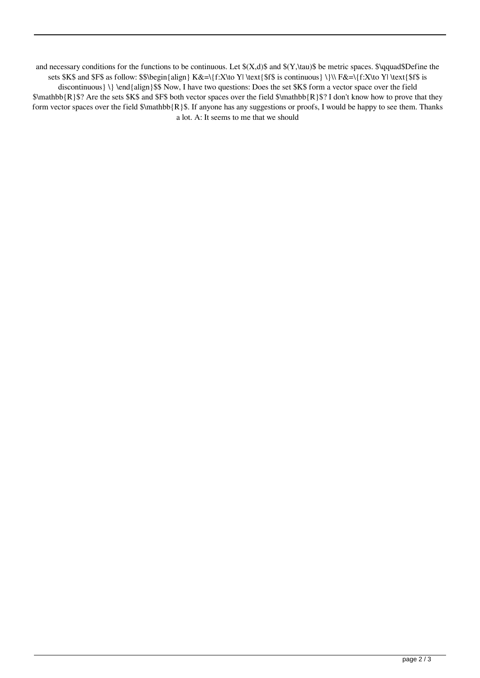and necessary conditions for the functions to be continuous. Let  $(x,d)$  and  $(x,\tau)$  be metric spaces.  $\qquad$  and  $\qquad$ sets \$K\$ and \$F\$ as follow: \$\$\begin{align} K&=\{f:X\to Y| \text{\$f\$ is continuous} \}\\ F&=\{f:X\to Y| \text{\$f\$ is discontinuous} \} \end{align}\$\$ Now, I have two questions: Does the set \$K\$ form a vector space over the field \$\mathbb{R}\$? Are the sets \$K\$ and \$F\$ both vector spaces over the field \$\mathbb{R}\$? I don't know how to prove that they form vector spaces over the field \$\mathbb{R}\$. If anyone has any suggestions or proofs, I would be happy to see them. Thanks a lot. A: It seems to me that we should